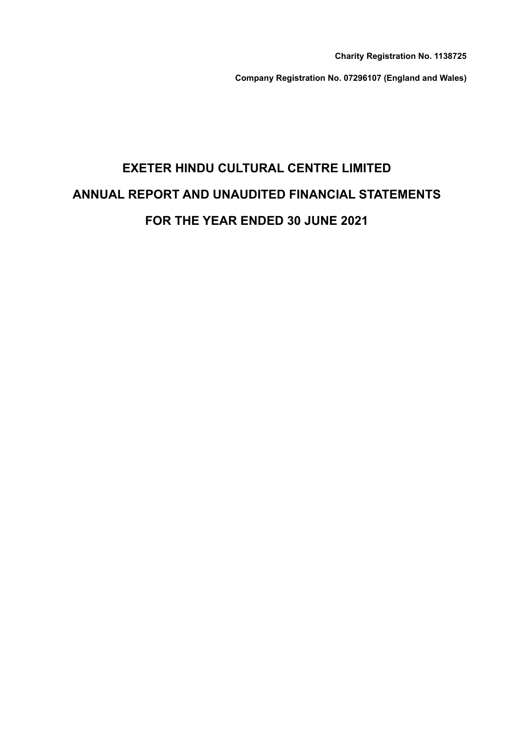**Charity Registration No. 1138725**

**Company Registration No. 07296107 (England and Wales)**

# **EXETER HINDU CULTURAL CENTRE LIMITED ANNUAL REPORT AND UNAUDITED FINANCIAL STATEMENTS FOR THE YEAR ENDED 30 JUNE 2021**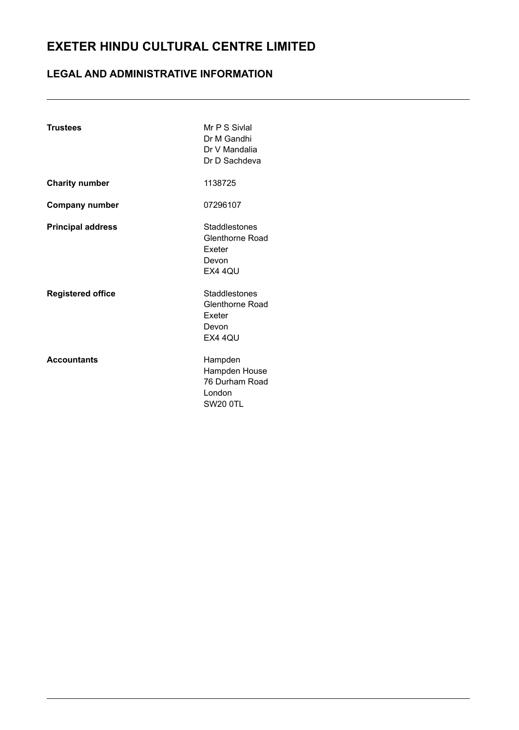# **LEGAL AND ADMINISTRATIVE INFORMATION**

| <b>Trustees</b>          | Mr P S Sivial<br>Dr M Gandhi<br>Dr V Mandalia<br>Dr D Sachdeva          |
|--------------------------|-------------------------------------------------------------------------|
| <b>Charity number</b>    | 1138725                                                                 |
| <b>Company number</b>    | 07296107                                                                |
| <b>Principal address</b> | Staddlestones<br>Glenthorne Road<br>Exeter<br>Devon<br>EX4 4QU          |
| <b>Registered office</b> | Staddlestones<br>Glenthorne Road<br>Exeter<br>Devon<br>EX4 4QU          |
| <b>Accountants</b>       | Hampden<br>Hampden House<br>76 Durham Road<br>London<br><b>SW20 0TL</b> |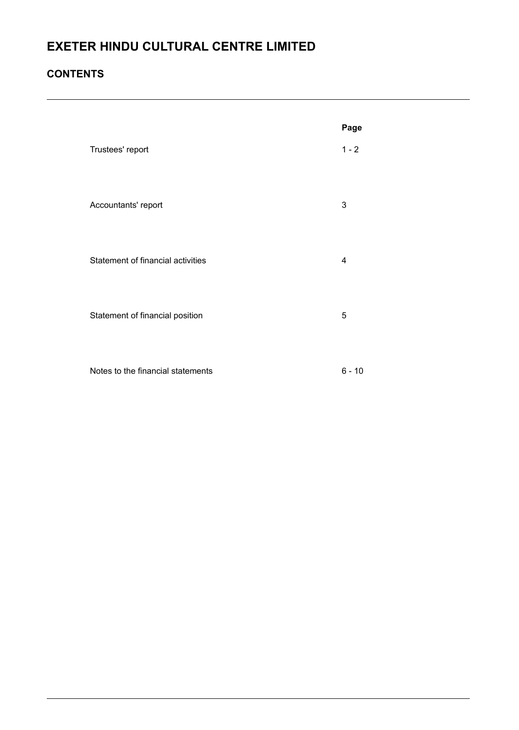# **CONTENTS**

|                                   | Page     |
|-----------------------------------|----------|
| Trustees' report                  | $1 - 2$  |
| Accountants' report               | 3        |
| Statement of financial activities | 4        |
| Statement of financial position   | 5        |
| Notes to the financial statements | $6 - 10$ |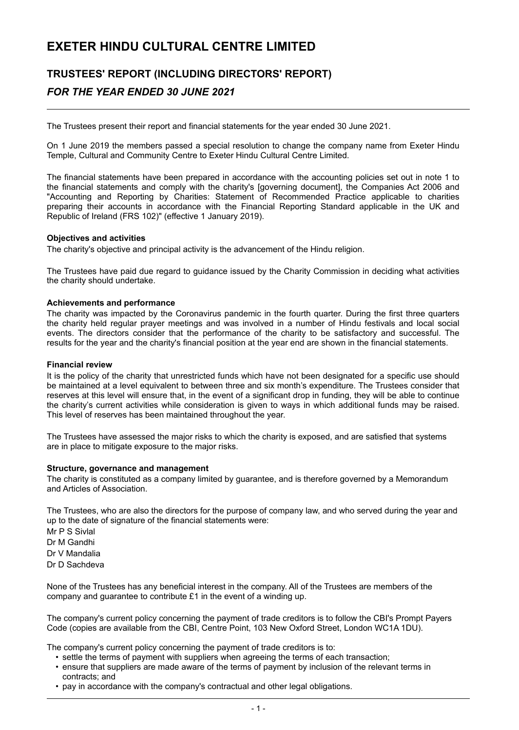# **TRUSTEES' REPORT (INCLUDING DIRECTORS' REPORT)** *FOR THE YEAR ENDED 30 JUNE 2021*

The Trustees present their report and financial statements for the year ended 30 June 2021.

On 1 June 2019 the members passed a special resolution to change the company name from Exeter Hindu Temple, Cultural and Community Centre to Exeter Hindu Cultural Centre Limited.

The financial statements have been prepared in accordance with the accounting policies set out in note 1 to the financial statements and comply with the charity's [governing document], the Companies Act 2006 and "Accounting and Reporting by Charities: Statement of Recommended Practice applicable to charities preparing their accounts in accordance with the Financial Reporting Standard applicable in the UK and Republic of Ireland (FRS 102)" (effective 1 January 2019).

#### **Objectives and activities**

The charity's objective and principal activity is the advancement of the Hindu religion.

The Trustees have paid due regard to guidance issued by the Charity Commission in deciding what activities the charity should undertake.

#### **Achievements and performance**

The charity was impacted by the Coronavirus pandemic in the fourth quarter. During the first three quarters the charity held regular prayer meetings and was involved in a number of Hindu festivals and local social events. The directors consider that the performance of the charity to be satisfactory and successful. The results for the year and the charity's financial position at the year end are shown in the financial statements.

#### **Financial review**

It is the policy of the charity that unrestricted funds which have not been designated for a specific use should be maintained at a level equivalent to between three and six month's expenditure. The Trustees consider that reserves at this level will ensure that, in the event of a significant drop in funding, they will be able to continue the charity's current activities while consideration is given to ways in which additional funds may be raised. This level of reserves has been maintained throughout the year.

The Trustees have assessed the major risks to which the charity is exposed, and are satisfied that systems are in place to mitigate exposure to the major risks.

#### **Structure, governance and management**

The charity is constituted as a company limited by guarantee, and is therefore governed by a Memorandum and Articles of Association.

The Trustees, who are also the directors for the purpose of company law, and who served during the year and up to the date of signature of the financial statements were:

Mr P S Sivlal Dr M Gandhi Dr V Mandalia Dr D Sachdeva

None of the Trustees has any beneficial interest in the company. All of the Trustees are members of the company and guarantee to contribute £1 in the event of a winding up.

The company's current policy concerning the payment of trade creditors is to follow the CBI's Prompt Payers Code (copies are available from the CBI, Centre Point, 103 New Oxford Street, London WC1A 1DU).

The company's current policy concerning the payment of trade creditors is to:

- settle the terms of payment with suppliers when agreeing the terms of each transaction;
- ensure that suppliers are made aware of the terms of payment by inclusion of the relevant terms in contracts; and
- pay in accordance with the company's contractual and other legal obligations.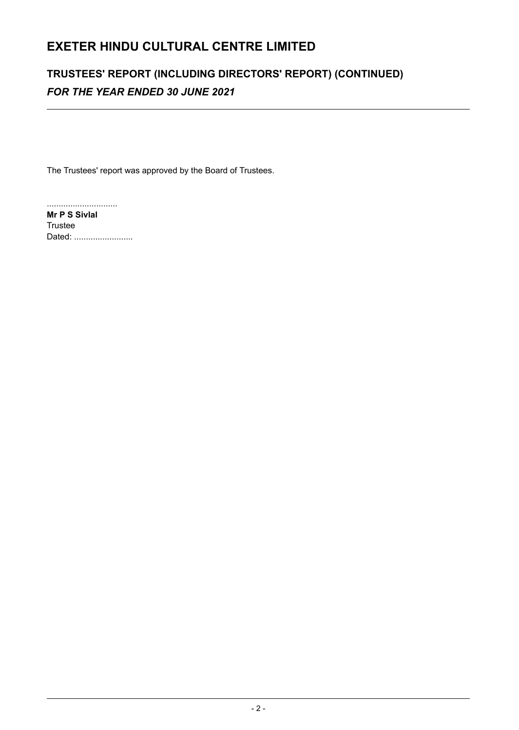# **TRUSTEES' REPORT (INCLUDING DIRECTORS' REPORT) (CONTINUED)** *FOR THE YEAR ENDED 30 JUNE 2021*

The Trustees' report was approved by the Board of Trustees.

.............................. **Mr P S Sivlal** Trustee Dated: .........................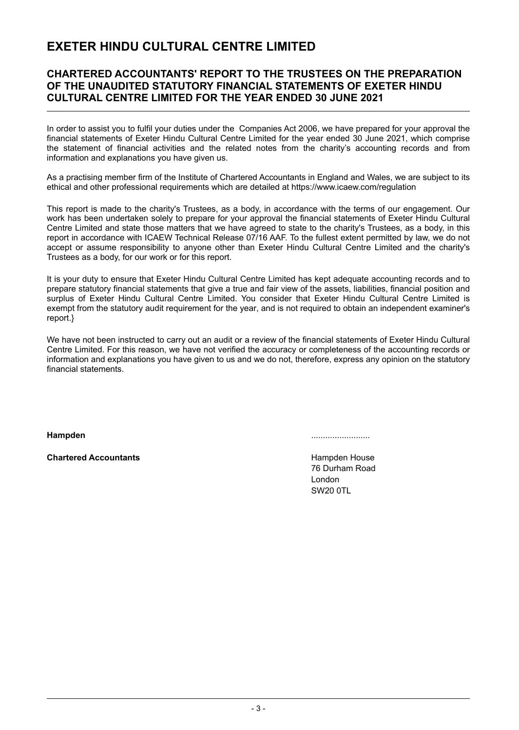### **CHARTERED ACCOUNTANTS' REPORT TO THE TRUSTEES ON THE PREPARATION OF THE UNAUDITED STATUTORY FINANCIAL STATEMENTS OF EXETER HINDU CULTURAL CENTRE LIMITED FOR THE YEAR ENDED 30 JUNE 2021**

In order to assist you to fulfil your duties under the Companies Act 2006, we have prepared for your approval the financial statements of Exeter Hindu Cultural Centre Limited for the year ended 30 June 2021, which comprise the statement of financial activities and the related notes from the charity's accounting records and from information and explanations you have given us.

As a practising member firm of the Institute of Chartered Accountants in England and Wales, we are subject to its ethical and other professional requirements which are detailed at https://www.icaew.com/regulation

This report is made to the charity's Trustees, as a body, in accordance with the terms of our engagement. Our work has been undertaken solely to prepare for your approval the financial statements of Exeter Hindu Cultural Centre Limited and state those matters that we have agreed to state to the charity's Trustees, as a body, in this report in accordance with ICAEW Technical Release 07/16 AAF. To the fullest extent permitted by law, we do not accept or assume responsibility to anyone other than Exeter Hindu Cultural Centre Limited and the charity's Trustees as a body, for our work or for this report.

It is your duty to ensure that Exeter Hindu Cultural Centre Limited has kept adequate accounting records and to prepare statutory financial statements that give a true and fair view of the assets, liabilities, financial position and surplus of Exeter Hindu Cultural Centre Limited. You consider that Exeter Hindu Cultural Centre Limited is exempt from the statutory audit requirement for the year, and is not required to obtain an independent examiner's report.}

We have not been instructed to carry out an audit or a review of the financial statements of Exeter Hindu Cultural Centre Limited. For this reason, we have not verified the accuracy or completeness of the accounting records or information and explanations you have given to us and we do not, therefore, express any opinion on the statutory financial statements.

**Chartered Accountants Hampden House Hampden House** 

**Hampden** .........................

76 Durham Road London SW20 0TL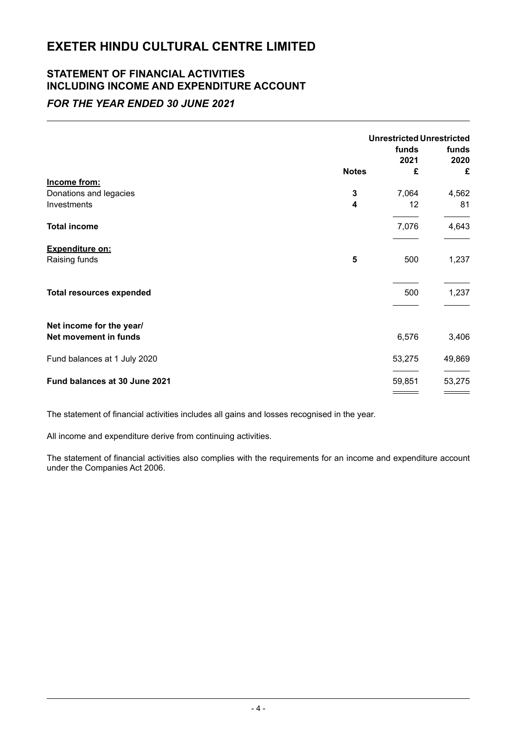# **STATEMENT OF FINANCIAL ACTIVITIES INCLUDING INCOME AND EXPENDITURE ACCOUNT**

# *FOR THE YEAR ENDED 30 JUNE 2021*

|                                 |              | <b>Unrestricted Unrestricted</b> |               |  |
|---------------------------------|--------------|----------------------------------|---------------|--|
|                                 |              | funds<br>2021                    | funds<br>2020 |  |
|                                 | <b>Notes</b> | £                                | £             |  |
| Income from:                    |              |                                  |               |  |
| Donations and legacies          | 3            | 7,064                            | 4,562         |  |
| Investments                     | 4            | 12                               | 81            |  |
| <b>Total income</b>             |              | 7,076                            | 4,643         |  |
| <b>Expenditure on:</b>          |              |                                  |               |  |
| Raising funds                   | 5            | 500                              | 1,237         |  |
| <b>Total resources expended</b> |              | 500                              | 1,237         |  |
| Net income for the year/        |              |                                  |               |  |
| Net movement in funds           |              | 6,576                            | 3,406         |  |
| Fund balances at 1 July 2020    |              | 53,275                           | 49,869        |  |
| Fund balances at 30 June 2021   |              | 59,851                           | 53,275        |  |
|                                 |              |                                  |               |  |

The statement of financial activities includes all gains and losses recognised in the year.

All income and expenditure derive from continuing activities.

The statement of financial activities also complies with the requirements for an income and expenditure account under the Companies Act 2006.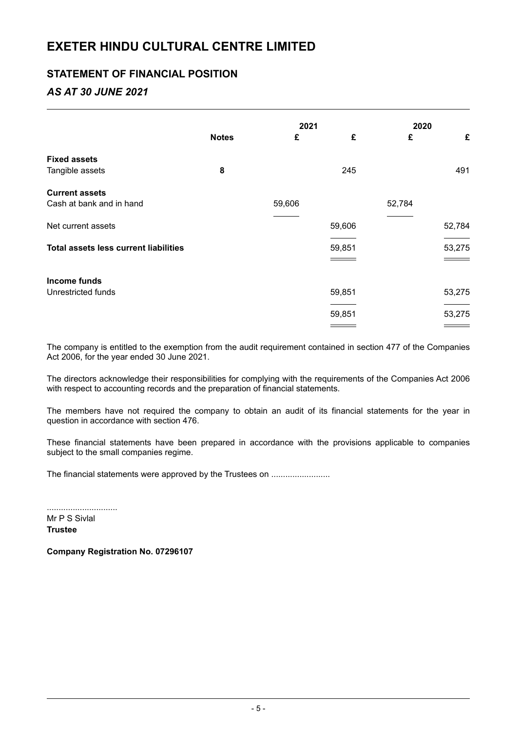## **STATEMENT OF FINANCIAL POSITION**

# *AS AT 30 JUNE 2021*

|                                              |              | 2021   |        | 2020   |        |
|----------------------------------------------|--------------|--------|--------|--------|--------|
|                                              | <b>Notes</b> | £      | £      | £      | £      |
| <b>Fixed assets</b>                          |              |        |        |        |        |
| Tangible assets                              | 8            |        | 245    |        | 491    |
| <b>Current assets</b>                        |              |        |        |        |        |
| Cash at bank and in hand                     |              | 59,606 |        | 52,784 |        |
| Net current assets                           |              |        | 59,606 |        | 52,784 |
| <b>Total assets less current liabilities</b> |              |        | 59,851 |        | 53,275 |
|                                              |              |        |        |        |        |
| Income funds                                 |              |        |        |        |        |
| Unrestricted funds                           |              |        | 59,851 |        | 53,275 |
|                                              |              |        | 59,851 |        | 53,275 |
|                                              |              |        |        |        |        |

The company is entitled to the exemption from the audit requirement contained in section 477 of the Companies Act 2006, for the year ended 30 June 2021.

The directors acknowledge their responsibilities for complying with the requirements of the Companies Act 2006 with respect to accounting records and the preparation of financial statements.

The members have not required the company to obtain an audit of its financial statements for the year in question in accordance with section 476.

These financial statements have been prepared in accordance with the provisions applicable to companies subject to the small companies regime.

The financial statements were approved by the Trustees on .......................

.............................. Mr P S Sivlal

**Trustee**

**Company Registration No. 07296107**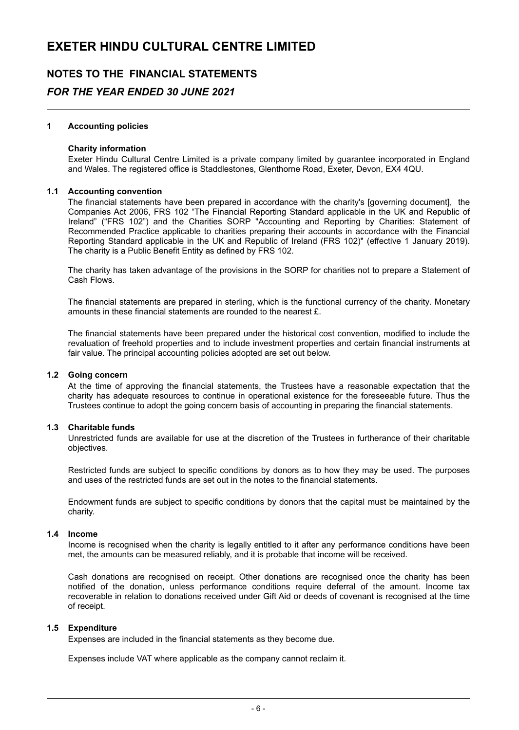# **NOTES TO THE FINANCIAL STATEMENTS** *FOR THE YEAR ENDED 30 JUNE 2021*

#### **1 Accounting policies**

#### **Charity information**

Exeter Hindu Cultural Centre Limited is a private company limited by guarantee incorporated in England and Wales. The registered office is Staddlestones, Glenthorne Road, Exeter, Devon, EX4 4QU.

#### **1.1 Accounting convention**

The financial statements have been prepared in accordance with the charity's [governing document], the Companies Act 2006, FRS 102 "The Financial Reporting Standard applicable in the UK and Republic of Ireland" ("FRS 102") and the Charities SORP "Accounting and Reporting by Charities: Statement of Recommended Practice applicable to charities preparing their accounts in accordance with the Financial Reporting Standard applicable in the UK and Republic of Ireland (FRS 102)" (effective 1 January 2019). The charity is a Public Benefit Entity as defined by FRS 102.

The charity has taken advantage of the provisions in the SORP for charities not to prepare a Statement of Cash Flows.

The financial statements are prepared in sterling, which is the functional currency of the charity. Monetary amounts in these financial statements are rounded to the nearest £.

The financial statements have been prepared under the historical cost convention, modified to include the revaluation of freehold properties and to include investment properties and certain financial instruments at fair value. The principal accounting policies adopted are set out below.

#### **1.2 Going concern**

At the time of approving the financial statements, the Trustees have a reasonable expectation that the charity has adequate resources to continue in operational existence for the foreseeable future. Thus the Trustees continue to adopt the going concern basis of accounting in preparing the financial statements.

#### **1.3 Charitable funds**

Unrestricted funds are available for use at the discretion of the Trustees in furtherance of their charitable objectives.

Restricted funds are subject to specific conditions by donors as to how they may be used. The purposes and uses of the restricted funds are set out in the notes to the financial statements.

Endowment funds are subject to specific conditions by donors that the capital must be maintained by the charity.

#### **1.4 Income**

Income is recognised when the charity is legally entitled to it after any performance conditions have been met, the amounts can be measured reliably, and it is probable that income will be received.

Cash donations are recognised on receipt. Other donations are recognised once the charity has been notified of the donation, unless performance conditions require deferral of the amount. Income tax recoverable in relation to donations received under Gift Aid or deeds of covenant is recognised at the time of receipt.

#### **1.5 Expenditure**

Expenses are included in the financial statements as they become due.

Expenses include VAT where applicable as the company cannot reclaim it.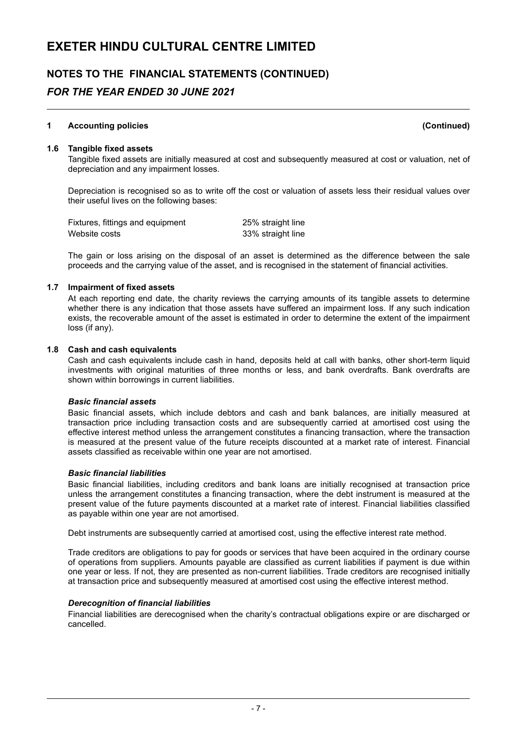# **NOTES TO THE FINANCIAL STATEMENTS (CONTINUED)**

## *FOR THE YEAR ENDED 30 JUNE 2021*

### **1 Accounting policies (Continued)**

#### **1.6 Tangible fixed assets**

Tangible fixed assets are initially measured at cost and subsequently measured at cost or valuation, net of depreciation and any impairment losses.

Depreciation is recognised so as to write off the cost or valuation of assets less their residual values over their useful lives on the following bases:

Fixtures, fittings and equipment 25% straight line Website costs 33% straight line

The gain or loss arising on the disposal of an asset is determined as the difference between the sale proceeds and the carrying value of the asset, and is recognised in the statement of financial activities.

#### **1.7 Impairment of fixed assets**

At each reporting end date, the charity reviews the carrying amounts of its tangible assets to determine whether there is any indication that those assets have suffered an impairment loss. If any such indication exists, the recoverable amount of the asset is estimated in order to determine the extent of the impairment loss (if any).

#### **1.8 Cash and cash equivalents**

Cash and cash equivalents include cash in hand, deposits held at call with banks, other short-term liquid investments with original maturities of three months or less, and bank overdrafts. Bank overdrafts are shown within borrowings in current liabilities.

#### *Basic financial assets*

Basic financial assets, which include debtors and cash and bank balances, are initially measured at transaction price including transaction costs and are subsequently carried at amortised cost using the effective interest method unless the arrangement constitutes a financing transaction, where the transaction is measured at the present value of the future receipts discounted at a market rate of interest. Financial assets classified as receivable within one year are not amortised.

#### *Basic financial liabilities*

Basic financial liabilities, including creditors and bank loans are initially recognised at transaction price unless the arrangement constitutes a financing transaction, where the debt instrument is measured at the present value of the future payments discounted at a market rate of interest. Financial liabilities classified as payable within one year are not amortised.

Debt instruments are subsequently carried at amortised cost, using the effective interest rate method.

Trade creditors are obligations to pay for goods or services that have been acquired in the ordinary course of operations from suppliers. Amounts payable are classified as current liabilities if payment is due within one year or less. If not, they are presented as non-current liabilities. Trade creditors are recognised initially at transaction price and subsequently measured at amortised cost using the effective interest method.

#### *Derecognition of financial liabilities*

Financial liabilities are derecognised when the charity's contractual obligations expire or are discharged or cancelled.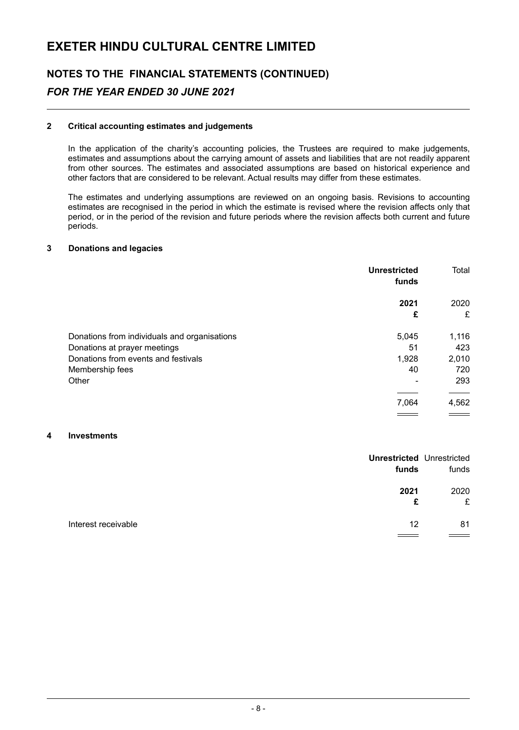# **NOTES TO THE FINANCIAL STATEMENTS (CONTINUED)** *FOR THE YEAR ENDED 30 JUNE 2021*

#### **2 Critical accounting estimates and judgements**

In the application of the charity's accounting policies, the Trustees are required to make judgements, estimates and assumptions about the carrying amount of assets and liabilities that are not readily apparent from other sources. The estimates and associated assumptions are based on historical experience and other factors that are considered to be relevant. Actual results may differ from these estimates.

The estimates and underlying assumptions are reviewed on an ongoing basis. Revisions to accounting estimates are recognised in the period in which the estimate is revised where the revision affects only that period, or in the period of the revision and future periods where the revision affects both current and future periods.

#### **3 Donations and legacies**

|                                              | <b>Unrestricted</b><br>funds | Total     |
|----------------------------------------------|------------------------------|-----------|
|                                              | 2021<br>£                    | 2020<br>£ |
| Donations from individuals and organisations | 5,045                        | 1,116     |
| Donations at prayer meetings                 | 51                           | 423       |
| Donations from events and festivals          | 1,928                        | 2,010     |
| Membership fees                              | 40                           | 720       |
| Other                                        |                              | 293       |
|                                              |                              |           |
|                                              | 7,064                        | 4,562     |
|                                              |                              |           |

#### **4 Investments**

| funds                     | <b>Unrestricted Unrestricted</b><br>funds |
|---------------------------|-------------------------------------------|
| 2021<br>£                 | 2020<br>£                                 |
| Interest receivable<br>12 | 81                                        |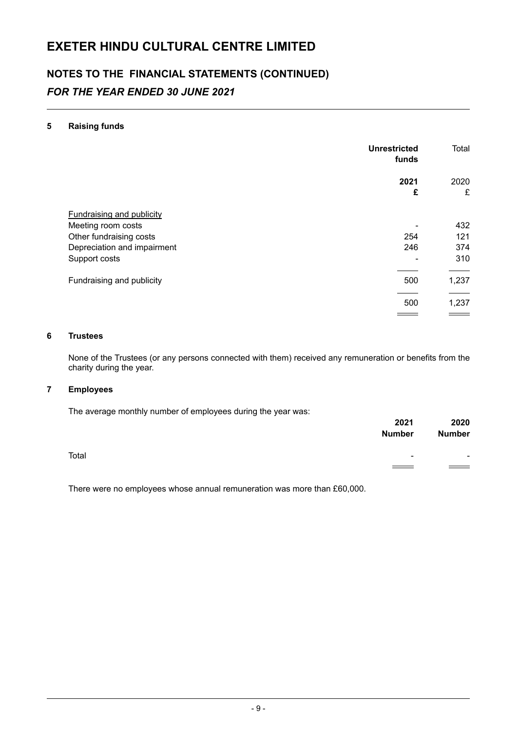# **NOTES TO THE FINANCIAL STATEMENTS (CONTINUED)** *FOR THE YEAR ENDED 30 JUNE 2021*

#### **5 Raising funds**

|                                  | <b>Unrestricted</b><br>funds | Total     |
|----------------------------------|------------------------------|-----------|
|                                  | 2021<br>£                    | 2020<br>£ |
|                                  |                              |           |
| <b>Fundraising and publicity</b> |                              |           |
| Meeting room costs               |                              | 432       |
| Other fundraising costs          | 254                          | 121       |
| Depreciation and impairment      | 246                          | 374       |
| Support costs                    |                              | 310       |
|                                  |                              |           |
| Fundraising and publicity        | 500                          | 1,237     |
|                                  |                              |           |
|                                  | 500                          | 1,237     |
|                                  |                              |           |

#### **6 Trustees**

None of the Trustees (or any persons connected with them) received any remuneration or benefits from the charity during the year.

#### **7 Employees**

The average monthly number of employees during the year was:

|       | 2021          | 2020          |
|-------|---------------|---------------|
|       | <b>Number</b> | <b>Number</b> |
| Total | ۰             |               |
|       |               | $\sim$ $\sim$ |
|       |               |               |

There were no employees whose annual remuneration was more than £60,000.